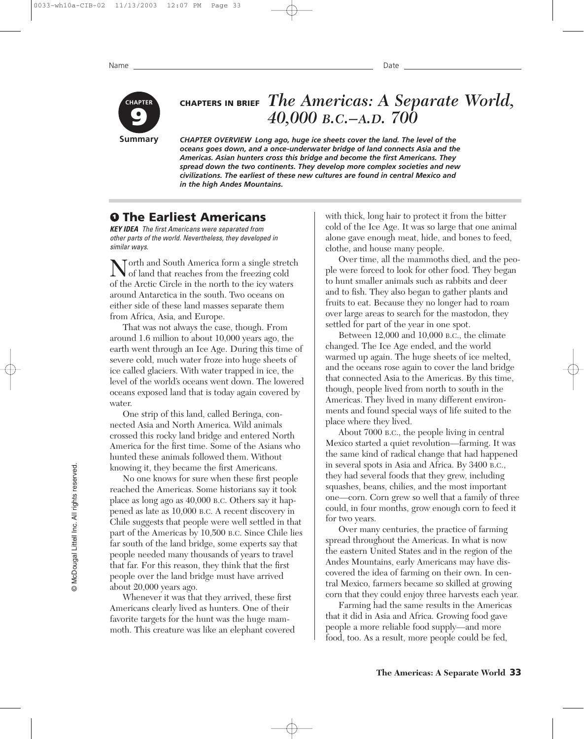

# **CHAPTERS IN BRIEF** *The Americas: A Separate World, 40,000 B.C.–A.D. 700*

*CHAPTER OVERVIEW Long ago, huge ice sheets cover the land. The level of the oceans goes down, and a once-underwater bridge of land connects Asia and the Americas. Asian hunters cross this bridge and become the first Americans. They spread down the two continents. They develop more complex societies and new civilizations. The earliest of these new cultures are found in central Mexico and in the high Andes Mountains.*

### **The Earliest Americans 1**

*KEY IDEA The first Americans were separated from other parts of the world. Nevertheless, they developed in similar ways.*

Torth and South America form a single stretch of land that reaches from the freezing cold of the Arctic Circle in the north to the icy waters around Antarctica in the south. Two oceans on either side of these land masses separate them from Africa, Asia, and Europe.

That was not always the case, though. From around 1.6 million to about 10,000 years ago, the earth went through an Ice Age. During this time of severe cold, much water froze into huge sheets of ice called glaciers. With water trapped in ice, the level of the world's oceans went down. The lowered oceans exposed land that is today again covered by water.

One strip of this land, called Beringa, connected Asia and North America. Wild animals crossed this rocky land bridge and entered North America for the first time. Some of the Asians who hunted these animals followed them. Without knowing it, they became the first Americans.

No one knows for sure when these first people reached the Americas. Some historians say it took place as long ago as 40,000 B.C. Others say it happened as late as 10,000 B.C. A recent discovery in Chile suggests that people were well settled in that part of the Americas by 10,500 B.C. Since Chile lies far south of the land bridge, some experts say that people needed many thousands of years to travel that far. For this reason, they think that the first people over the land bridge must have arrived about 20,000 years ago.

Whenever it was that they arrived, these first Americans clearly lived as hunters. One of their favorite targets for the hunt was the huge mammoth. This creature was like an elephant covered with thick, long hair to protect it from the bitter cold of the Ice Age. It was so large that one animal alone gave enough meat, hide, and bones to feed, clothe, and house many people.

Over time, all the mammoths died, and the people were forced to look for other food. They began to hunt smaller animals such as rabbits and deer and to fish. They also began to gather plants and fruits to eat. Because they no longer had to roam over large areas to search for the mastodon, they settled for part of the year in one spot.

Between 12,000 and 10,000 B.C., the climate changed. The Ice Age ended, and the world warmed up again. The huge sheets of ice melted, and the oceans rose again to cover the land bridge that connected Asia to the Americas. By this time, though, people lived from north to south in the Americas. They lived in many different environments and found special ways of life suited to the place where they lived.

About 7000 B.C., the people living in central Mexico started a quiet revolution—farming. It was the same kind of radical change that had happened in several spots in Asia and Africa. By 3400 B.C., they had several foods that they grew, including squashes, beans, chilies, and the most important one—corn. Corn grew so well that a family of three could, in four months, grow enough corn to feed it for two years.

Over many centuries, the practice of farming spread throughout the Americas. In what is now the eastern United States and in the region of the Andes Mountains, early Americans may have discovered the idea of farming on their own. In central Mexico, farmers became so skilled at growing corn that they could enjoy three harvests each year.

Farming had the same results in the Americas that it did in Asia and Africa. Growing food gave people a more reliable food supply—and more food, too. As a result, more people could be fed,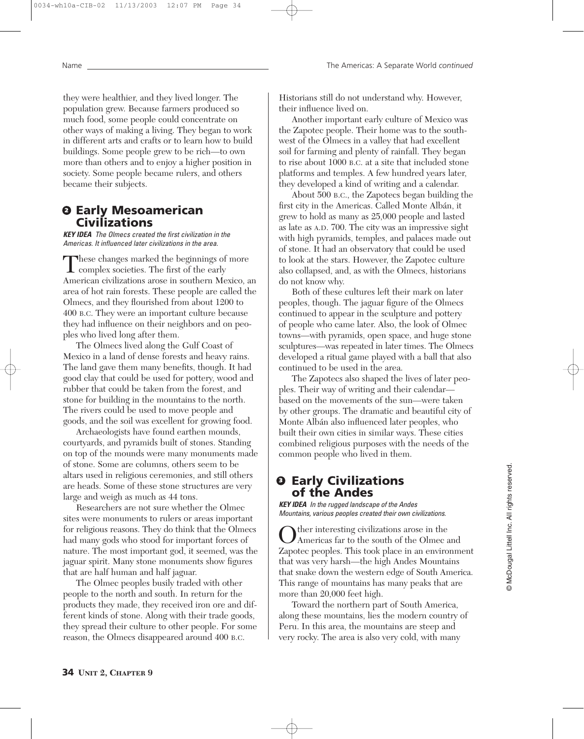they were healthier, and they lived longer. The population grew. Because farmers produced so much food, some people could concentrate on other ways of making a living. They began to work in different arts and crafts or to learn how to build buildings. Some people grew to be rich—to own more than others and to enjoy a higher position in society. Some people became rulers, and others became their subjects.

# **Early Mesoamerican 2 Civilizations**

*KEY IDEA The Olmecs created the first civilization in the Americas. It influenced later civilizations in the area.*

These changes marked the beginnings of more<br>complex societies. The first of the early<br>American sixiliations areas in acuthery Marios American civilizations arose in southern Mexico, an area of hot rain forests. These people are called the Olmecs, and they flourished from about 1200 to 400 B.C. They were an important culture because they had influence on their neighbors and on peoples who lived long after them.

The Olmecs lived along the Gulf Coast of Mexico in a land of dense forests and heavy rains. The land gave them many benefits, though. It had good clay that could be used for pottery, wood and rubber that could be taken from the forest, and stone for building in the mountains to the north. The rivers could be used to move people and goods, and the soil was excellent for growing food.

Archaeologists have found earthen mounds, courtyards, and pyramids built of stones. Standing on top of the mounds were many monuments made of stone. Some are columns, others seem to be altars used in religious ceremonies, and still others are heads. Some of these stone structures are very large and weigh as much as 44 tons.

Researchers are not sure whether the Olmec sites were monuments to rulers or areas important for religious reasons. They do think that the Olmecs had many gods who stood for important forces of nature. The most important god, it seemed, was the jaguar spirit. Many stone monuments show figures that are half human and half jaguar.

The Olmec peoples busily traded with other people to the north and south. In return for the products they made, they received iron ore and different kinds of stone. Along with their trade goods, they spread their culture to other people. For some reason, the Olmecs disappeared around 400 B.C.

Historians still do not understand why. However, their influence lived on.

Another important early culture of Mexico was the Zapotec people. Their home was to the southwest of the Olmecs in a valley that had excellent soil for farming and plenty of rainfall. They began to rise about 1000 B.C. at a site that included stone platforms and temples. A few hundred years later, they developed a kind of writing and a calendar.

About 500 B.C., the Zapotecs began building the first city in the Americas. Called Monte Albán, it grew to hold as many as 25,000 people and lasted as late as A.D. 700. The city was an impressive sight with high pyramids, temples, and palaces made out of stone. It had an observatory that could be used to look at the stars. However, the Zapotec culture also collapsed, and, as with the Olmecs, historians do not know why.

Both of these cultures left their mark on later peoples, though. The jaguar figure of the Olmecs continued to appear in the sculpture and pottery of people who came later. Also, the look of Olmec towns—with pyramids, open space, and huge stone sculptures—was repeated in later times. The Olmecs developed a ritual game played with a ball that also continued to be used in the area.

The Zapotecs also shaped the lives of later peoples. Their way of writing and their calendar based on the movements of the sun—were taken by other groups. The dramatic and beautiful city of Monte Albán also influenced later peoples, who built their own cities in similar ways. These cities combined religious purposes with the needs of the common people who lived in them.

# **Early Civilizations 3 of the Andes**

*KEY IDEA In the rugged landscape of the Andes Mountains, various peoples created their own civilizations.*

Other interesting civilizations arose in the<br>Americas far to the south of the Olmec and<br>Zurates possible This technology in an antipage Zapotec peoples. This took place in an environment that was very harsh—the high Andes Mountains that snake down the western edge of South America. This range of mountains has many peaks that are more than 20,000 feet high.

Toward the northern part of South America, along these mountains, lies the modern country of Peru. In this area, the mountains are steep and very rocky. The area is also very cold, with many